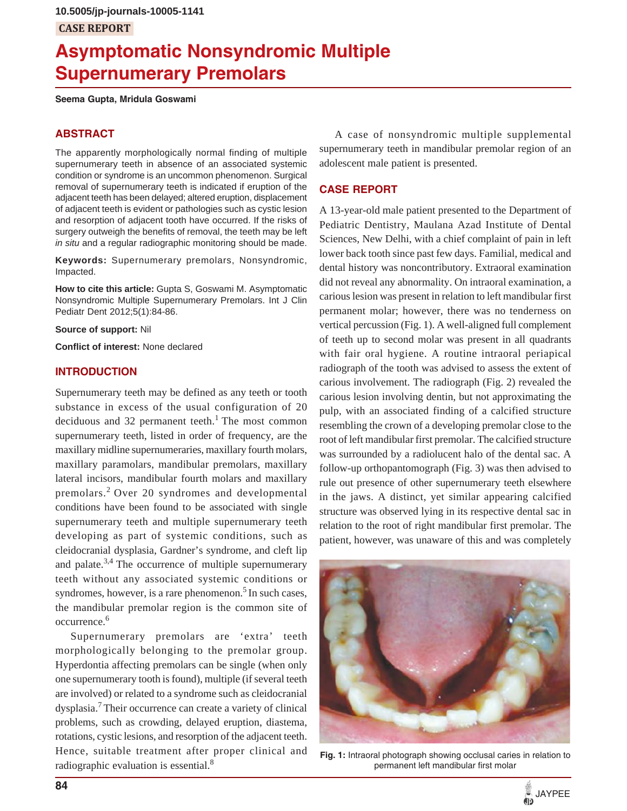# **CASE REPORT**

# **Asymptomatic Nonsyndromic Multiple Supernumerary Premolars**

**Seema Gupta, Mridula Goswami**

#### **ABSTRACT**

The apparently morphologically normal finding of multiple supernumerary teeth in absence of an associated systemic condition or syndrome is an uncommon phenomenon. Surgical removal of supernumerary teeth is indicated if eruption of the adjacent teeth has been delayed; altered eruption, displacement of adjacent teeth is evident or pathologies such as cystic lesion and resorption of adjacent tooth have occurred. If the risks of surgery outweigh the benefits of removal, the teeth may be left *in situ* and a regular radiographic monitoring should be made.

**Keywords:** Supernumerary premolars, Nonsyndromic, Impacted.

**How to cite this article:** Gupta S, Goswami M. Asymptomatic Nonsyndromic Multiple Supernumerary Premolars. Int J Clin Pediatr Dent 2012;5(1):84-86.

**Source of support:** Nil

**Conflict of interest:** None declared

#### **INTRODUCTION**

Supernumerary teeth may be defined as any teeth or tooth substance in excess of the usual configuration of 20 deciduous and 32 permanent teeth.<sup>1</sup> The most common supernumerary teeth, listed in order of frequency, are the maxillary midline supernumeraries, maxillary fourth molars, maxillary paramolars, mandibular premolars, maxillary lateral incisors, mandibular fourth molars and maxillary premolars.2 Over 20 syndromes and developmental conditions have been found to be associated with single supernumerary teeth and multiple supernumerary teeth developing as part of systemic conditions, such as cleidocranial dysplasia, Gardner's syndrome, and cleft lip and palate.<sup>3,4</sup> The occurrence of multiple supernumerary teeth without any associated systemic conditions or syndromes, however, is a rare phenomenon.<sup>5</sup> In such cases, the mandibular premolar region is the common site of occurrence.<sup>6</sup>

Supernumerary premolars are 'extra' teeth morphologically belonging to the premolar group. Hyperdontia affecting premolars can be single (when only one supernumerary tooth is found), multiple (if several teeth are involved) or related to a syndrome such as cleidocranial dysplasia.<sup>7</sup> Their occurrence can create a variety of clinical problems, such as crowding, delayed eruption, diastema, rotations, cystic lesions, and resorption of the adjacent teeth. Hence, suitable treatment after proper clinical and radiographic evaluation is essential.8

A case of nonsyndromic multiple supplemental supernumerary teeth in mandibular premolar region of an adolescent male patient is presented.

# **CASE REPORT**

A 13-year-old male patient presented to the Department of Pediatric Dentistry, Maulana Azad Institute of Dental Sciences, New Delhi, with a chief complaint of pain in left lower back tooth since past few days. Familial, medical and dental history was noncontributory. Extraoral examination did not reveal any abnormality. On intraoral examination, a carious lesion was present in relation to left mandibular first permanent molar; however, there was no tenderness on vertical percussion (Fig. 1). A well-aligned full complement of teeth up to second molar was present in all quadrants with fair oral hygiene. A routine intraoral periapical radiograph of the tooth was advised to assess the extent of carious involvement. The radiograph (Fig. 2) revealed the carious lesion involving dentin, but not approximating the pulp, with an associated finding of a calcified structure resembling the crown of a developing premolar close to the root of left mandibular first premolar. The calcified structure was surrounded by a radiolucent halo of the dental sac. A follow-up orthopantomograph (Fig. 3) was then advised to rule out presence of other supernumerary teeth elsewhere in the jaws. A distinct, yet similar appearing calcified structure was observed lying in its respective dental sac in relation to the root of right mandibular first premolar. The patient, however, was unaware of this and was completely



**Fig. 1:** Intraoral photograph showing occlusal caries in relation to permanent left mandibular first molar

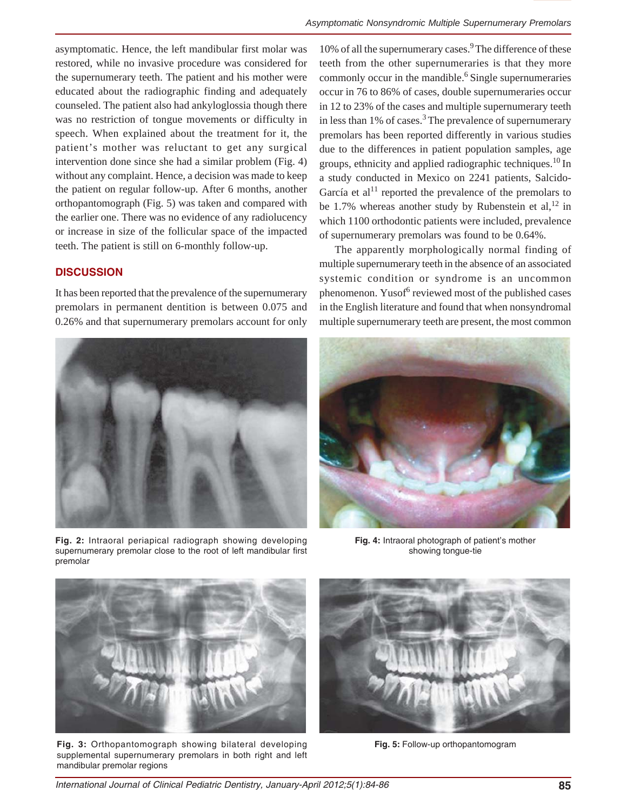asymptomatic. Hence, the left mandibular first molar was restored, while no invasive procedure was considered for the supernumerary teeth. The patient and his mother were educated about the radiographic finding and adequately counseled. The patient also had ankyloglossia though there was no restriction of tongue movements or difficulty in speech. When explained about the treatment for it, the patient's mother was reluctant to get any surgical intervention done since she had a similar problem (Fig. 4) without any complaint. Hence, a decision was made to keep the patient on regular follow-up. After 6 months, another orthopantomograph (Fig. 5) was taken and compared with the earlier one. There was no evidence of any radiolucency or increase in size of the follicular space of the impacted teeth. The patient is still on 6-monthly follow-up.

### **DISCUSSION**

It has been reported that the prevalence of the supernumerary premolars in permanent dentition is between 0.075 and 0.26% and that supernumerary premolars account for only



**Fig. 2:** Intraoral periapical radiograph showing developing supernumerary premolar close to the root of left mandibular first premolar

10% of all the supernumerary cases.<sup>9</sup> The difference of these teeth from the other supernumeraries is that they more commonly occur in the mandible.<sup>6</sup> Single supernumeraries occur in 76 to 86% of cases, double supernumeraries occur in 12 to 23% of the cases and multiple supernumerary teeth in less than  $1\%$  of cases.<sup>3</sup> The prevalence of supernumerary premolars has been reported differently in various studies due to the differences in patient population samples, age groups, ethnicity and applied radiographic techniques.<sup>10</sup> In a study conducted in Mexico on 2241 patients, Salcido-García et al<sup>11</sup> reported the prevalence of the premolars to be 1.7% whereas another study by Rubenstein et al,  $^{12}$  in which 1100 orthodontic patients were included, prevalence of supernumerary premolars was found to be 0.64%.

The apparently morphologically normal finding of multiple supernumerary teeth in the absence of an associated systemic condition or syndrome is an uncommon phenomenon. Yusof<sup>6</sup> reviewed most of the published cases in the English literature and found that when nonsyndromal multiple supernumerary teeth are present, the most common



**Fig. 4:** Intraoral photograph of patient's mother showing tongue-tie



**Fig. 3:** Orthopantomograph showing bilateral developing supplemental supernumerary premolars in both right and left mandibular premolar regions



**Fig. 5:** Follow-up orthopantomogram